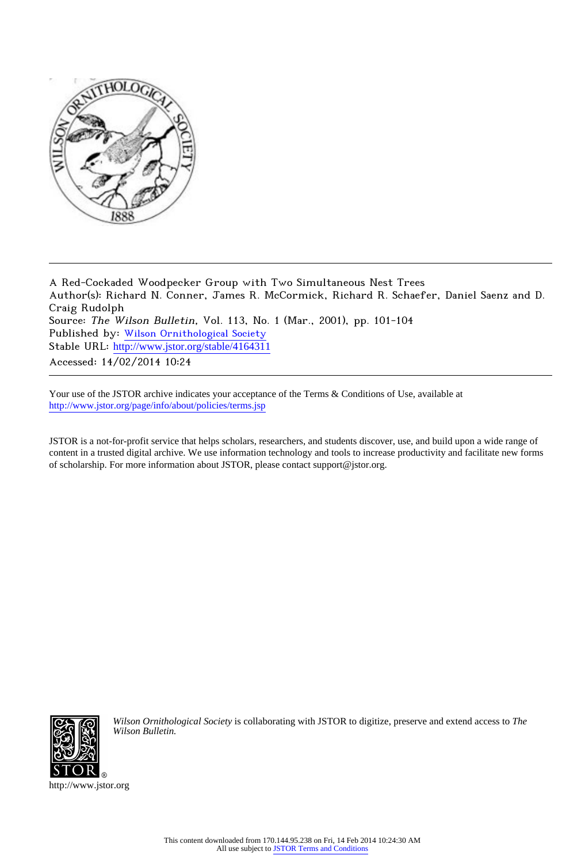

A Red-Cockaded Woodpecker Group with Two Simultaneous Nest Trees Author(s): Richard N. Conner, James R. McCormick, Richard R. Schaefer, Daniel Saenz and D. Craig Rudolph Source: The Wilson Bulletin, Vol. 113, No. 1 (Mar., 2001), pp. 101-104 Published by: [Wilson Ornithological Society](http://www.jstor.org/action/showPublisher?publisherCode=wos) Stable URL: [http://www.jstor.org/stable/4164311](http://www.jstor.org/stable/4164311?origin=JSTOR-pdf) Accessed: 14/02/2014 10:24

Your use of the JSTOR archive indicates your acceptance of the Terms & Conditions of Use, available at <http://www.jstor.org/page/info/about/policies/terms.jsp>

JSTOR is a not-for-profit service that helps scholars, researchers, and students discover, use, and build upon a wide range of content in a trusted digital archive. We use information technology and tools to increase productivity and facilitate new forms of scholarship. For more information about JSTOR, please contact support@jstor.org.



*Wilson Ornithological Society* is collaborating with JSTOR to digitize, preserve and extend access to *The Wilson Bulletin.*

http://www.jstor.org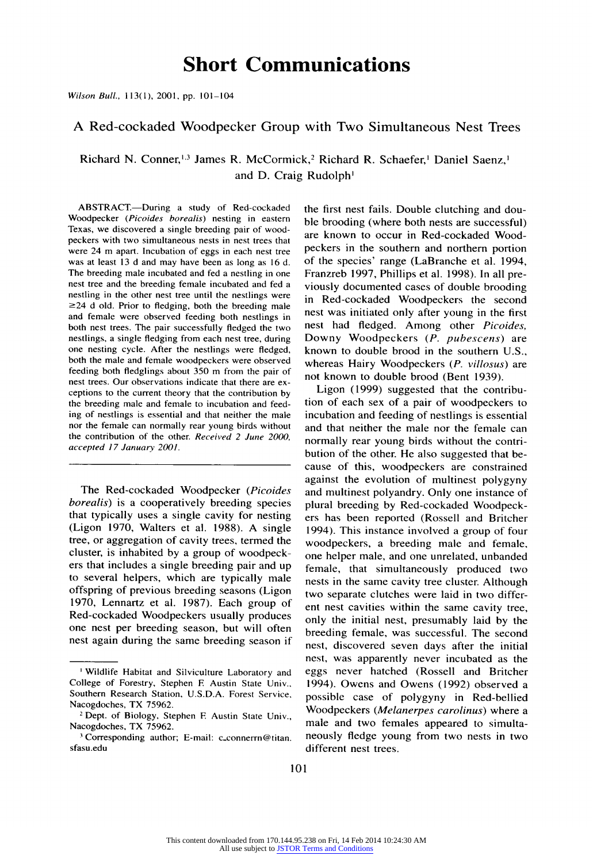# **Short Communications**

**Wilson Bull., 1 3(1), 2001, pp. 101-104** 

### **A Red-cockaded Woodpecker Group with Two Simultaneous Nest Trees**

**Richard N. Conner, 3 James R. McCormick,2 Richard R. Schaefer,' Daniel Saenz,' and D. Craig Rudolph'** 

**ABSTRACT.-During a study of Red-cockaded Woodpecker (Picoides borealis) nesting in eastern Texas, we discovered a single breeding pair of woodpeckers with two simultaneous nests in nest trees that were 24 m apart. Incubation of eggs in each nest tree was at least 13 d and may have been as long as 16 d. The breeding male incubated and fed a nestling in one nest tree and the breeding female incubated and fed a nestling in the other nest tree until the nestlings were ?24 d old. Prior to fledging, both the breeding male and female were observed feeding both nestlings in both nest trees. The pair successfully fledged the two nestlings, a single fledging from each nest tree, during one nesting cycle. After the nestlings were fledged, both the male and female woodpeckers were observed feeding both fledglings about 350 m from the pair of nest trees. Our observations indicate that there are exceptions to the current theory that the contribution by the breeding male and female to incubation and feeding of nestlings is essential and that neither the male nor the female can normally rear young birds without the contribution of the other. Received 2 June 2000, accepted 17 January 2001.** 

**The Red-cockaded Woodpecker (Picoides borealis) is a cooperatively breeding species that typically uses a single cavity for nesting (Ligon 1970, Walters et al. 1988). A single tree, or aggregation of cavity trees, termed the cluster, is inhabited by a group of woodpeckers that includes a single breeding pair and up to several helpers, which are typically male offspring of previous breeding seasons (Ligon 1970, Lennartz et al. 1987). Each group of Red-cockaded Woodpeckers usually produces one nest per breeding season, but will often nest again during the same breeding season if**  **the first nest fails. Double clutching and double brooding (where both nests are successful) are known to occur in Red-cockaded Woodpeckers in the southern and northern portion of the species' range (LaBranche et al. 1994, Franzreb 1997, Phillips et al. 1998). In all previously documented cases of double brooding in Red-cockaded Woodpeckers the second nest was initiated only after young in the first nest had fledged. Among other Picoides, Downy Woodpeckers (P. pubescens) are known to double brood in the southern U.S., whereas Hairy Woodpeckers (P. villosus) are not known to double brood (Bent 1939).** 

**Ligon (1999) suggested that the contribution of each sex of a pair of woodpeckers to incubation and feeding of nestlings is essential and that neither the male nor the female can normally rear young birds without the contribution of the other. He also suggested that because of this, woodpeckers are constrained against the evolution of multinest polygyny and multinest polyandry. Only one instance of plural breeding by Red-cockaded Woodpeckers has been reported (Rossell and Britcher 1994). This instance involved a group of four woodpeckers, a breeding male and female, one helper male, and one unrelated, unbanded female, that simultaneously produced two nests in the same cavity tree cluster. Although two separate clutches were laid in two different nest cavities within the same cavity tree, only the initial nest, presumably laid by the breeding female, was successful. The second nest, discovered seven days after the initial nest, was apparently never incubated as the eggs never hatched (Rossell and Britcher 1994). Owens and Owens (1992) observed a possible case of polygyny in Red-bellied Woodpeckers (Melanerpes carolinus) where a male and two females appeared to simultaneously fledge young from two nests in two different nest trees.** 

**<sup>&#</sup>x27; Wildlife Habitat and Silviculture Laboratory and College of Forestry, Stephen F Austin State Univ., Southern Research Station, U.S.D.A. Forest Service, Nacogdoches, TX 75962.** 

**<sup>2</sup>Dept. of Biology, Stephen F Austin State Univ., Nacogdoches, TX 75962.** 

**<sup>1</sup> Corresponding author; E-mail: c\_connerrn@titan. sfasu.edu**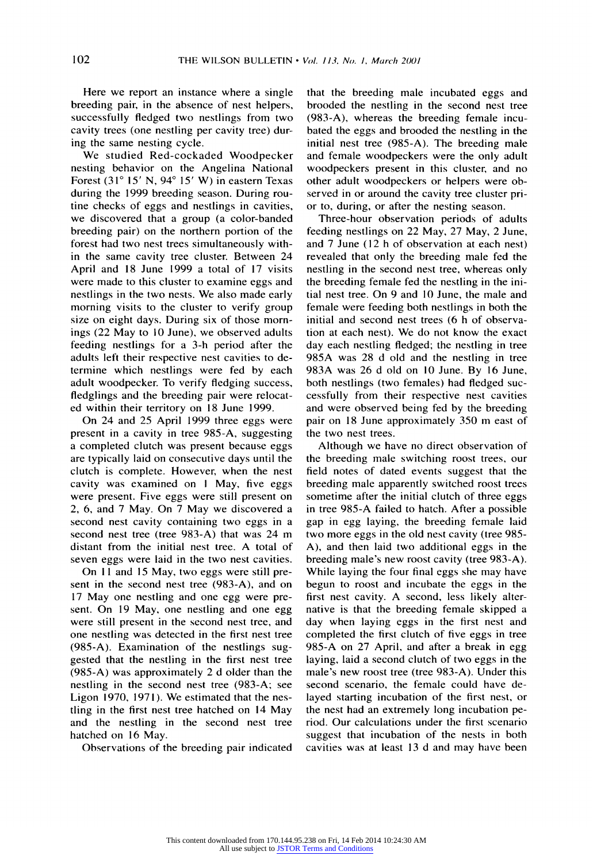**Here we report an instance where a single breeding pair, in the absence of nest helpers, successfully fledged two nestlings from two cavity trees (one nestling per cavity tree) during the same nesting cycle.** 

**We studied Red-cockaded Woodpecker nesting behavior on the Angelina National Forest (310 15' N, 940 15' W) in eastern Texas during the 1999 breeding season. During routine checks of eggs and nestlings in cavities, we discovered that a group (a color-banded breeding pair) on the northern portion of the forest had two nest trees simultaneously within the same cavity tree cluster. Between 24 April and 18 June 1999 a total of 17 visits were made to this cluster to examine eggs and nestlings in the two nests. We also made early morning visits to the cluster to verify group size on eight days. During six of those mornings (22 May to 10 June), we observed adults feeding nestlings for a 3-h period after the adults left their respective nest cavities to determine which nestlings were fed by each adult woodpecker. To verify fledging success, fledglings and the breeding pair were relocated within their territory on 18 June 1999.** 

**On 24 and 25 April 1999 three eggs were present in a cavity in tree 985-A, suggesting a completed clutch was present because eggs are typically laid on consecutive days until the clutch is complete. However, when the nest cavity was examined on I May, five eggs were present. Five eggs were still present on 2, 6, and 7 May. On 7 May we discovered a second nest cavity containing two eggs in a second nest tree (tree 983-A) that was 24 m distant from the initial nest tree. A total of seven eggs were laid in the two nest cavities.** 

On 11 and 15 May, two eggs were still pre**sent in the second nest tree (983-A), and on 17 May one nestling and one egg were present. On 19 May, one nestling and one egg were still present in the second nest tree, and one nestling was detected in the first nest tree (985-A). Examination of the nestlings suggested that the nestling in the first nest tree (985-A) was approximately 2 d older than the nestling in the second nest tree (983-A; see Ligon 1970, 1971). We estimated that the nestling in the first nest tree hatched on 14 May and the nestling in the second nest tree hatched on 16 May.** 

**Observations of the breeding pair indicated** 

**that the breeding male incubated eggs and brooded the nestling in the second nest tree (983-A), whereas the breeding female incubated the eggs and brooded the nestling in the initial nest tree (985-A). The breeding male and female woodpeckers were the only adult woodpeckers present in this cluster, and no other adult woodpeckers or helpers were observed in or around the cavity tree cluster prior to, during, or after the nesting season.** 

**Three-hour observation periods of adults feeding nestlings on 22 May, 27 May, 2 June, and 7 June (12 h of observation at each nest) revealed that only the breeding male fed the nestling in the second nest tree, whereas only the breeding female fed the nestling in the initial nest tree. On 9 and 10 June, the male and female were feeding both nestlings in both the initial and second nest trees (6 h of observation at each nest). We do not know the exact day each nestling fledged; the nestling in tree 985A was 28 d old and the nestling in tree 983A was 26 d old on 10 June. By 16 June, both nestlings (two females) had fledged successfully from their respective nest cavities and were observed being fed by the breeding pair on 18 June approximately 350 m east of the two nest trees.** 

**Although we have no direct observation of the breeding male switching roost trees, our field notes of dated events suggest that the breeding male apparently switched roost trees sometime after the initial clutch of three eggs in tree 985-A failed to hatch. After a possible gap in egg laying, the breeding female laid two more eggs in the old nest cavity (tree 985- A), and then laid two additional eggs in the breeding male's new roost cavity (tree 983-A). While laying the four final eggs she may have begun to roost and incubate the eggs in the first nest cavity. A second, less likely alternative is that the breeding female skipped a day when laying eggs in the first nest and completed the first clutch of five eggs in tree 985-A on 27 April, and after a break in egg laying, laid a second clutch of two eggs in the male's new roost tree (tree 983-A). Under this second scenario, the female could have delayed starting incubation of the first nest, or the nest had an extremely long incubation period. Our calculations under the first scenario suggest that incubation of the nests in both cavities was at least 13 d and may have been**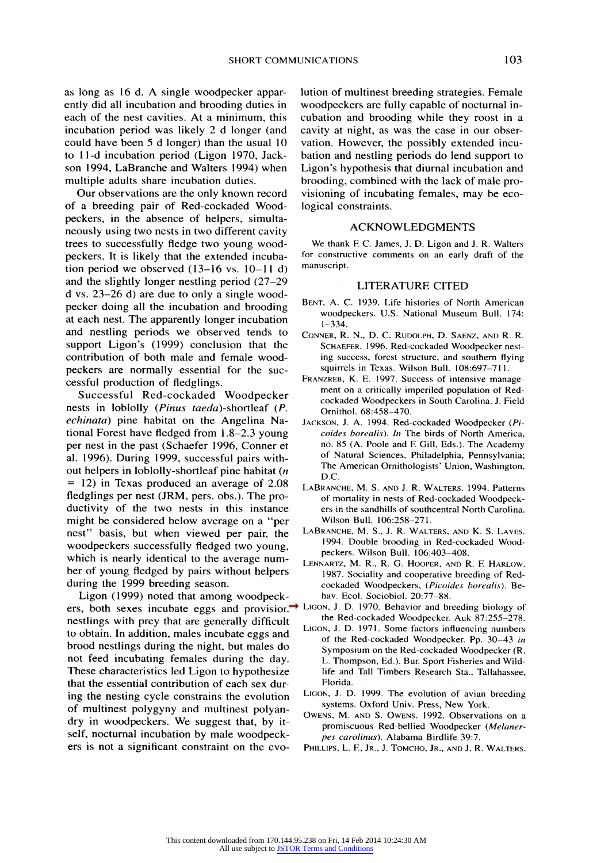**as long as 16 d. A single woodpecker apparently did all incubation and brooding duties in each of the nest cavities. At a minimum, this incubation period was likely 2 d longer (and could have been 5 d longer) than the usual 10 to 1 1-d incubation period (Ligon 1970, Jackson 1994, LaBranche and Walters 1994) when multiple adults share incubation duties.** 

**Our observations are the only known record of a breeding pair of Red-cockaded Woodpeckers, in the absence of helpers, simultaneously using two nests in two different cavity trees to successfully fledge two young woodpeckers. It is likely that the extended incubation period we observed (13-16 vs. 10-11 d) and the slightly longer nestling period (27-29 d vs. 23-26 d) are due to only a single woodpecker doing all the incubation and brooding at each nest. The apparently longer incubation and nestling periods we observed tends to support Ligon's (1999) conclusion that the contribution of both male and female woodpeckers are normally essential for the successful production of fledglings.** 

**Successful Red-cockaded Woodpecker nests in loblolly (Pinus taeda)-shortleaf (P. echinata) pine habitat on the Angelina National Forest have fledged from 1.8-2.3 young per nest in the past (Schaefer 1996, Conner et al. 1996). During 1999, successful pairs without helpers in loblolly-shortleaf pine habitat (n = 12) in Texas produced an average of 2.08 fledglings per nest (JRM, pers. obs.). The productivity of the two nests in this instance might be considered below average on a "per nest" basis, but when viewed per pair, the woodpeckers successfully fledged two young, which is nearly identical to the average number of young fledged by pairs without helpers during the 1999 breeding season.** 

**Ligon (1999) noted that among woodpeckers, both sexes incubate eggs and provision nestlings with prey that are generally difficult to obtain. In addition, males incubate eggs and brood nestlings during the night, but males do not feed incubating females during the day. These characteristics led Ligon to hypothesize that the essential contribution of each sex during the nesting cycle constrains the evolution of multinest polygyny and multinest polyandry in woodpeckers. We suggest that, by itself, nocturnal incubation by male woodpeckers is not a significant constraint on the evo-** **lution of multinest breeding strategies. Female woodpeckers are fully capable of nocturnal incubation and brooding while they roost in a cavity at night, as was the case in our observation. However, the possibly extended incubation and nestling periods do lend support to Ligon's hypothesis that diurnal incubation and brooding, combined with the lack of male provisioning of incubating females, may be ecological constraints.** 

#### **ACKNOWLEDGMENTS**

**We thank F C. James, J. D. Ligon and J. R. Walters for constructive comments on an early draft of the manuscript.** 

#### **LITERATURE CITED**

- **BENT, A. C. 1939. Life histories of North American woodpeckers. U.S. National Museum Bull. 174: 1-334.**
- **CONNER, R. N., D. C. RUDOLPH, D. SAENZ, AND R. R. SCHAEFER. 1996. Red-cockaded Woodpecker nesting success, forest structure, and southern flying squirrels in Texas. Wilson Bull. 108:697-711.**
- **FRANZREB, K. E. 1997. Success of intensive management on a critically imperiled population of Redcockaded Woodpeckers in South Carolina. J. Field Ornithol. 68:458-470.**
- **JACKSON, J. A. 1994. Red-cockaded Woodpecker (Picoides borealis). In The birds of North America, no. 85 (A. Poole and F Gill, Eds.). The Academy of Natural Sciences, Philadelphia, Pennsylvania; The American Ornithologists' Union, Washington, D.C.**
- **LABRANCHE, M. S. AND J. R. WALTERS. 1994. Patterns of mortality in nests of Red-cockaded Woodpeckers in the sandhills of southcentral North Carolina. Wilson Bull. 106:258-271.**
- **LABRANCHE, M. S., J. R. WALTERS, AND K. S. LAVES. 1994. Double brooding in Red-cockaded Woodpeckers. Wilson Bull. 106:403-408.**
- **LENNARTZ, M. R., R. G. HOOPER, AND R. F HARLOW. 1987. Sociality and cooperative breeding of Redcockaded Woodpeckers, (Picoides borealis). Behav. Ecol. Sociobiol. 20:77-88.**
- **LIGON, J. D. 1970. Behavior and breeding biology of the Red-cockaded Woodpecker. Auk 87:255-278.** 
	- **LIGON, J. D. 1971. Some factors influencing numbers of the Red-cockaded Woodpecker. Pp. 30-43 in Symposium on the Red-cockaded Woodpecker (R. L. Thompson, Ed.). Bur. Sport Fisheries and Wildlife and Tall Timbers Research Sta., Tallahassee, Florida.**
	- **LIGON, J. D. 1999. The evolution of avian breeding systems. Oxford Univ. Press, New York.**
	- **OWENS, M. AND S. OWENS. 1992. Observations on a promiscuous Red-bellied Woodpecker (Melanerpes carolinus). Alabama Birdlife 39:7.**
	- **PHILLIPS, L. F, JR., J. TOMCHO, JR., AND J. R. WALTERS.**